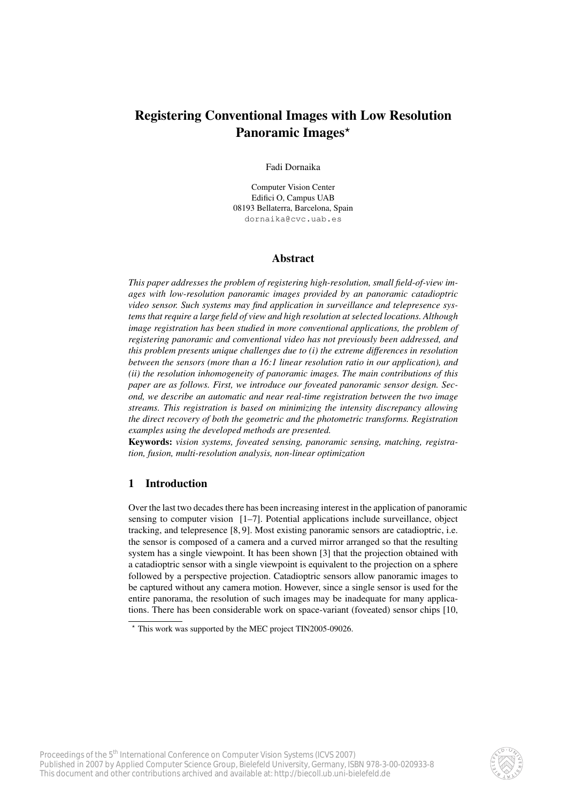# Registering Conventional Images with Low Resolution Panoramic Images\*

Fadi Dornaika

Computer Vision Center Edifici O, Campus UAB 08193 Bellaterra, Barcelona, Spain dornaika@cvc.uab.es

#### Abstract

*This paper addresses the problem of registering high-resolution, small field-of-view images with low-resolution panoramic images provided by an panoramic catadioptric video sensor. Such systems may find application in surveillance and telepresence systems that require a large field of view and high resolution at selected locations. Although image registration has been studied in more conventional applications, the problem of registering panoramic and conventional video has not previously been addressed, and this problem presents unique challenges due to (i) the extreme differences in resolution between the sensors (more than a 16:1 linear resolution ratio in our application), and (ii) the resolution inhomogeneity of panoramic images. The main contributions of this paper are as follows. First, we introduce our foveated panoramic sensor design. Second, we describe an automatic and near real-time registration between the two image streams. This registration is based on minimizing the intensity discrepancy allowing the direct recovery of both the geometric and the photometric transforms. Registration examples using the developed methods are presented.*

Keywords: *vision systems, foveated sensing, panoramic sensing, matching, registration, fusion, multi-resolution analysis, non-linear optimization*

## 1 Introduction

Over the last two decades there has been increasing interest in the application of panoramic sensing to computer vision [1–7]. Potential applications include surveillance, object tracking, and telepresence [8, 9]. Most existing panoramic sensors are catadioptric, i.e. the sensor is composed of a camera and a curved mirror arranged so that the resulting system has a single viewpoint. It has been shown [3] that the projection obtained with a catadioptric sensor with a single viewpoint is equivalent to the projection on a sphere followed by a perspective projection. Catadioptric sensors allow panoramic images to be captured without any camera motion. However, since a single sensor is used for the entire panorama, the resolution of such images may be inadequate for many applications. There has been considerable work on space-variant (foveated) sensor chips [10,



<sup>?</sup> This work was supported by the MEC project TIN2005-09026.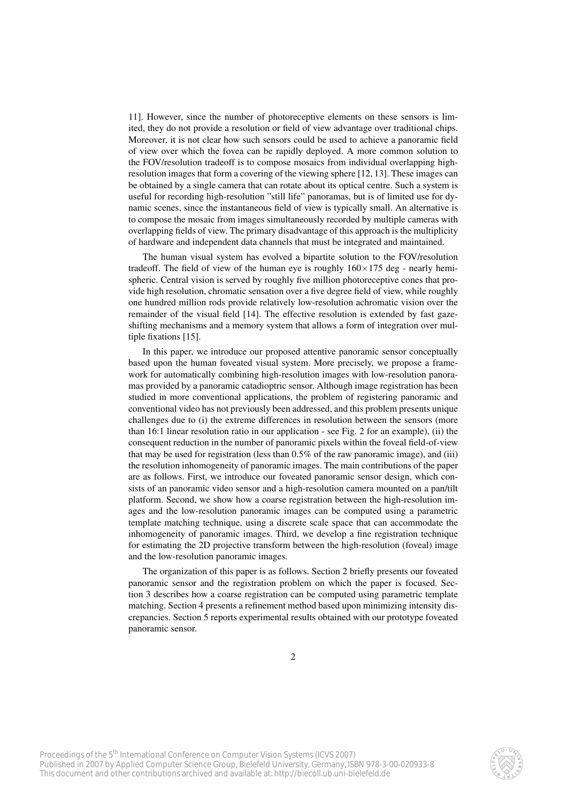11]. However, since the number of photoreceptive elements on these sensors is limited, they do not provide a resolution or field of view advantage over traditional chips. Moreover, it is not clear how such sensors could be used to achieve a panoramic field of view over which the fovea can be rapidly deployed. A more common solution to the FOV/resolution tradeoff is to compose mosaics from individual overlapping highresolution images that form a covering of the viewing sphere [12, 13]. These images can be obtained by a single camera that can rotate about its optical centre. Such a system is useful for recording high-resolution "still life" panoramas, but is of limited use for dynamic scenes, since the instantaneous field of view is typically small. An alternative is to compose the mosaic from images simultaneously recorded by multiple cameras with overlapping fields of view. The primary disadvantage of this approach is the multiplicity of hardware and independent data channels that must be integrated and maintained.

The human visual system has evolved a bipartite solution to the FOV/resolution tradeoff. The field of view of the human eye is roughly  $160\times175$  deg - nearly hemispheric. Central vision is served by roughly five million photoreceptive cones that provide high resolution, chromatic sensation over a five degree field of view, while roughly one hundred million rods provide relatively low-resolution achromatic vision over the remainder of the visual field [14]. The effective resolution is extended by fast gazeshifting mechanisms and a memory system that allows a form of integration over multiple fixations [15].

In this paper, we introduce our proposed attentive panoramic sensor conceptually based upon the human foveated visual system. More precisely, we propose a framework for automatically combining high-resolution images with low-resolution panoramas provided by a panoramic catadioptric sensor. Although image registration has been studied in more conventional applications, the problem of registering panoramic and conventional video has not previously been addressed, and this problem presents unique challenges due to (i) the extreme differences in resolution between the sensors (more than 16:1 linear resolution ratio in our application - see Fig. 2 for an example), (ii) the consequent reduction in the number of panoramic pixels within the foveal field-of-view that may be used for registration (less than 0.5% of the raw panoramic image), and (iii) the resolution inhomogeneity of panoramic images. The main contributions of the paper are as follows. First, we introduce our foveated panoramic sensor design, which consists of an panoramic video sensor and a high-resolution camera mounted on a pan/tilt platform. Second, we show how a coarse registration between the high-resolution images and the low-resolution panoramic images can be computed using a parametric template matching technique, using a discrete scale space that can accommodate the inhomogeneity of panoramic images. Third, we develop a fine registration technique for estimating the 2D projective transform between the high-resolution (foveal) image and the low-resolution panoramic images.

The organization of this paper is as follows. Section 2 briefly presents our foveated panoramic sensor and the registration problem on which the paper is focused. Section 3 describes how a coarse registration can be computed using parametric template matching. Section 4 presents a refinement method based upon minimizing intensity discrepancies. Section 5 reports experimental results obtained with our prototype foveated panoramic sensor.

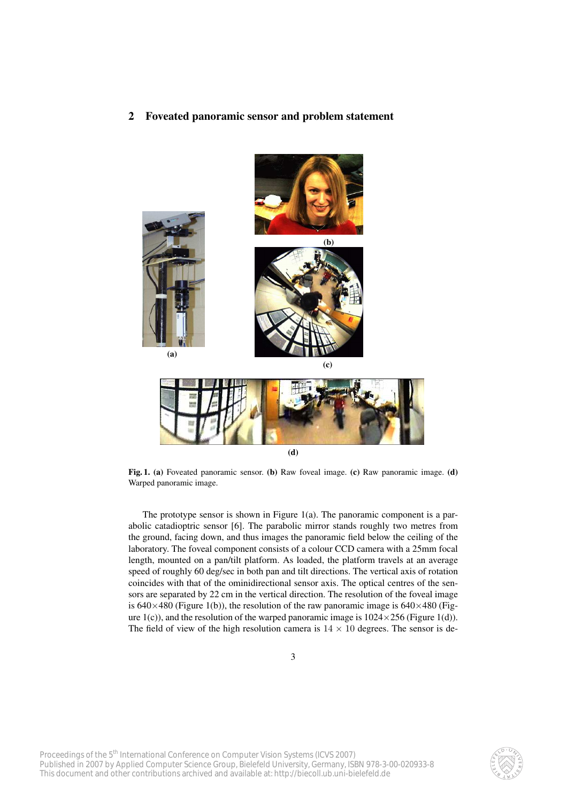2 Foveated panoramic sensor and problem statement



Fig. 1. (a) Foveated panoramic sensor. (b) Raw foveal image. (c) Raw panoramic image. (d) Warped panoramic image.

The prototype sensor is shown in Figure 1(a). The panoramic component is a parabolic catadioptric sensor [6]. The parabolic mirror stands roughly two metres from the ground, facing down, and thus images the panoramic field below the ceiling of the laboratory. The foveal component consists of a colour CCD camera with a 25mm focal length, mounted on a pan/tilt platform. As loaded, the platform travels at an average speed of roughly 60 deg/sec in both pan and tilt directions. The vertical axis of rotation coincides with that of the ominidirectional sensor axis. The optical centres of the sensors are separated by 22 cm in the vertical direction. The resolution of the foveal image is 640 $\times$ 480 (Figure 1(b)), the resolution of the raw panoramic image is 640 $\times$ 480 (Figure 1(c)), and the resolution of the warped panoramic image is  $1024 \times 256$  (Figure 1(d)). The field of view of the high resolution camera is  $14 \times 10$  degrees. The sensor is de-

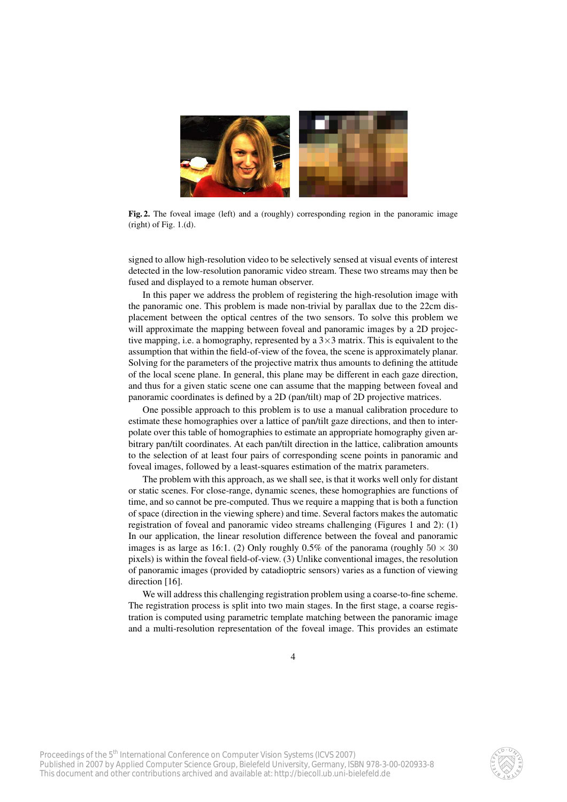

Fig. 2. The foveal image (left) and a (roughly) corresponding region in the panoramic image  $(right)$  of Fig. 1.(d).

signed to allow high-resolution video to be selectively sensed at visual events of interest detected in the low-resolution panoramic video stream. These two streams may then be fused and displayed to a remote human observer.

In this paper we address the problem of registering the high-resolution image with the panoramic one. This problem is made non-trivial by parallax due to the 22cm displacement between the optical centres of the two sensors. To solve this problem we will approximate the mapping between foveal and panoramic images by a 2D projective mapping, i.e. a homography, represented by a  $3\times 3$  matrix. This is equivalent to the assumption that within the field-of-view of the fovea, the scene is approximately planar. Solving for the parameters of the projective matrix thus amounts to defining the attitude of the local scene plane. In general, this plane may be different in each gaze direction, and thus for a given static scene one can assume that the mapping between foveal and panoramic coordinates is defined by a 2D (pan/tilt) map of 2D projective matrices.

One possible approach to this problem is to use a manual calibration procedure to estimate these homographies over a lattice of pan/tilt gaze directions, and then to interpolate over this table of homographies to estimate an appropriate homography given arbitrary pan/tilt coordinates. At each pan/tilt direction in the lattice, calibration amounts to the selection of at least four pairs of corresponding scene points in panoramic and foveal images, followed by a least-squares estimation of the matrix parameters.

The problem with this approach, as we shall see, is that it works well only for distant or static scenes. For close-range, dynamic scenes, these homographies are functions of time, and so cannot be pre-computed. Thus we require a mapping that is both a function of space (direction in the viewing sphere) and time. Several factors makes the automatic registration of foveal and panoramic video streams challenging (Figures 1 and 2): (1) In our application, the linear resolution difference between the foveal and panoramic images is as large as 16:1. (2) Only roughly 0.5% of the panorama (roughly  $50 \times 30$ pixels) is within the foveal field-of-view. (3) Unlike conventional images, the resolution of panoramic images (provided by catadioptric sensors) varies as a function of viewing direction [16].

We will address this challenging registration problem using a coarse-to-fine scheme. The registration process is split into two main stages. In the first stage, a coarse registration is computed using parametric template matching between the panoramic image and a multi-resolution representation of the foveal image. This provides an estimate

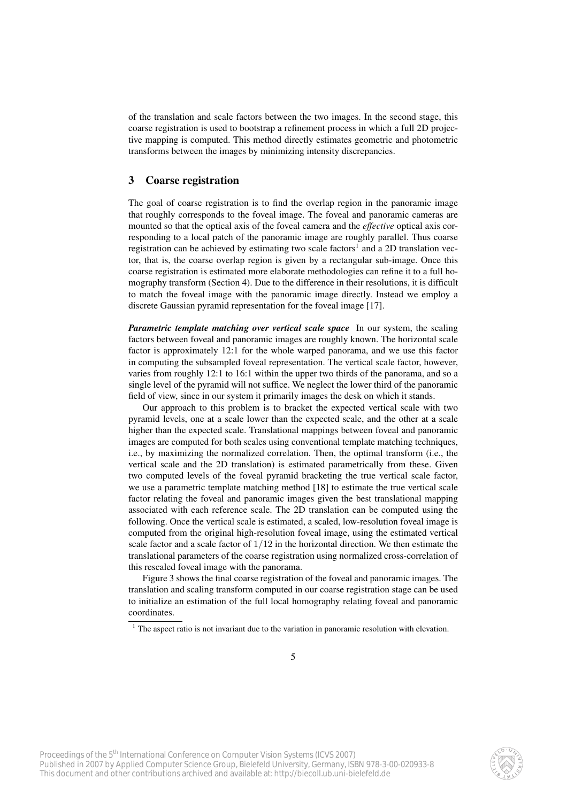of the translation and scale factors between the two images. In the second stage, this coarse registration is used to bootstrap a refinement process in which a full 2D projective mapping is computed. This method directly estimates geometric and photometric transforms between the images by minimizing intensity discrepancies.

## 3 Coarse registration

The goal of coarse registration is to find the overlap region in the panoramic image that roughly corresponds to the foveal image. The foveal and panoramic cameras are mounted so that the optical axis of the foveal camera and the *effective* optical axis corresponding to a local patch of the panoramic image are roughly parallel. Thus coarse registration can be achieved by estimating two scale factors<sup>1</sup> and a 2D translation vector, that is, the coarse overlap region is given by a rectangular sub-image. Once this coarse registration is estimated more elaborate methodologies can refine it to a full homography transform (Section 4). Due to the difference in their resolutions, it is difficult to match the foveal image with the panoramic image directly. Instead we employ a discrete Gaussian pyramid representation for the foveal image [17].

*Parametric template matching over vertical scale space* In our system, the scaling factors between foveal and panoramic images are roughly known. The horizontal scale factor is approximately 12:1 for the whole warped panorama, and we use this factor in computing the subsampled foveal representation. The vertical scale factor, however, varies from roughly 12:1 to 16:1 within the upper two thirds of the panorama, and so a single level of the pyramid will not suffice. We neglect the lower third of the panoramic field of view, since in our system it primarily images the desk on which it stands.

Our approach to this problem is to bracket the expected vertical scale with two pyramid levels, one at a scale lower than the expected scale, and the other at a scale higher than the expected scale. Translational mappings between foveal and panoramic images are computed for both scales using conventional template matching techniques, i.e., by maximizing the normalized correlation. Then, the optimal transform (i.e., the vertical scale and the 2D translation) is estimated parametrically from these. Given two computed levels of the foveal pyramid bracketing the true vertical scale factor, we use a parametric template matching method [18] to estimate the true vertical scale factor relating the foveal and panoramic images given the best translational mapping associated with each reference scale. The 2D translation can be computed using the following. Once the vertical scale is estimated, a scaled, low-resolution foveal image is computed from the original high-resolution foveal image, using the estimated vertical scale factor and a scale factor of  $1/12$  in the horizontal direction. We then estimate the translational parameters of the coarse registration using normalized cross-correlation of this rescaled foveal image with the panorama.

Figure 3 shows the final coarse registration of the foveal and panoramic images. The translation and scaling transform computed in our coarse registration stage can be used to initialize an estimation of the full local homography relating foveal and panoramic coordinates.



 $<sup>1</sup>$  The aspect ratio is not invariant due to the variation in panoramic resolution with elevation.</sup>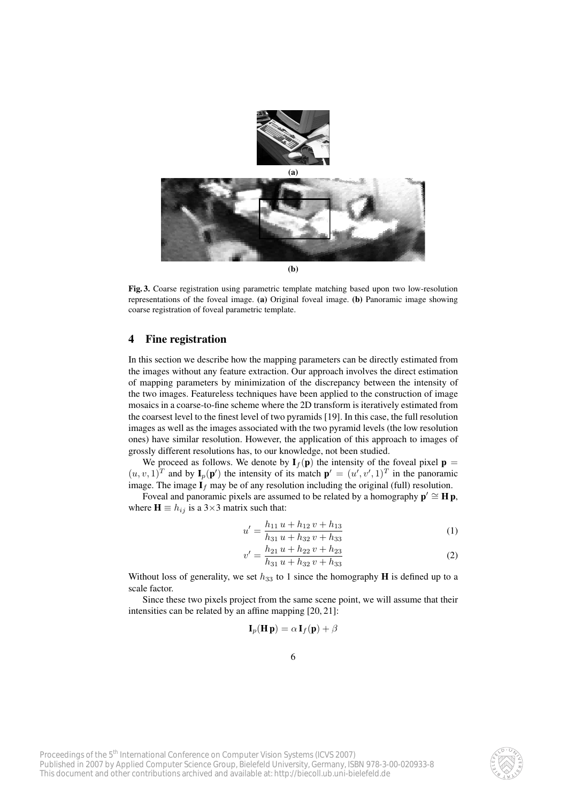

Fig. 3. Coarse registration using parametric template matching based upon two low-resolution representations of the foveal image. (a) Original foveal image. (b) Panoramic image showing coarse registration of foveal parametric template.

## 4 Fine registration

In this section we describe how the mapping parameters can be directly estimated from the images without any feature extraction. Our approach involves the direct estimation of mapping parameters by minimization of the discrepancy between the intensity of the two images. Featureless techniques have been applied to the construction of image mosaics in a coarse-to-fine scheme where the 2D transform is iteratively estimated from the coarsest level to the finest level of two pyramids [19]. In this case, the full resolution images as well as the images associated with the two pyramid levels (the low resolution ones) have similar resolution. However, the application of this approach to images of grossly different resolutions has, to our knowledge, not been studied.

We proceed as follows. We denote by  $I_f(p)$  the intensity of the foveal pixel  $p =$  $(u, v, 1)^T$  and by  $I_p(p')$  the intensity of its match  $p' = (u', v', 1)^T$  in the panoramic image. The image  $\hat{\mathbf{I}}_f$  may be of any resolution including the original (full) resolution.

Foveal and panoramic pixels are assumed to be related by a homography  $p' \cong H p$ , where  $\mathbf{H} \equiv h_{ij}$  is a 3×3 matrix such that:

$$
u' = \frac{h_{11}u + h_{12}v + h_{13}}{h_{31}u + h_{32}v + h_{33}}
$$
 (1)

$$
v' = \frac{h_{21} u + h_{22} v + h_{23}}{h_{31} u + h_{32} v + h_{33}}
$$
 (2)

Without loss of generality, we set  $h_{33}$  to 1 since the homography **H** is defined up to a scale factor.

Since these two pixels project from the same scene point, we will assume that their intensities can be related by an affine mapping [20, 21]:

$$
\mathbf{I}_p(\mathbf{H}\,\mathbf{p}) = \alpha \,\mathbf{I}_f(\mathbf{p}) + \beta
$$

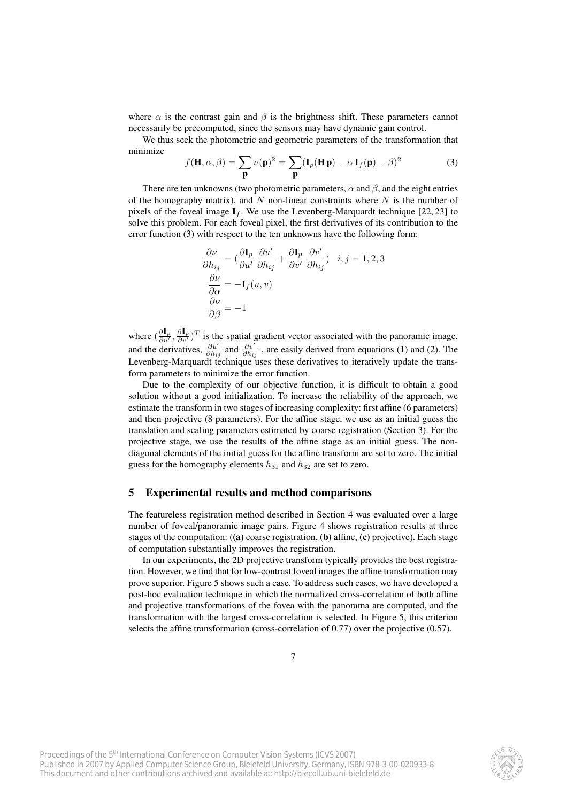where  $\alpha$  is the contrast gain and  $\beta$  is the brightness shift. These parameters cannot necessarily be precomputed, since the sensors may have dynamic gain control.

We thus seek the photometric and geometric parameters of the transformation that minimize  $\overline{\phantom{a}}$ 

$$
f(\mathbf{H}, \alpha, \beta) = \sum_{\mathbf{p}} \nu(\mathbf{p})^2 = \sum_{\mathbf{p}} (\mathbf{I}_p(\mathbf{H}\mathbf{p}) - \alpha \mathbf{I}_f(\mathbf{p}) - \beta)^2
$$
 (3)

There are ten unknowns (two photometric parameters,  $\alpha$  and  $\beta$ , and the eight entries of the homography matrix), and N non-linear constraints where  $N$  is the number of pixels of the foveal image  $I_f$ . We use the Levenberg-Marquardt technique [22, 23] to solve this problem. For each foveal pixel, the first derivatives of its contribution to the error function (3) with respect to the ten unknowns have the following form:

$$
\frac{\partial \nu}{\partial h_{ij}} = \left(\frac{\partial \mathbf{I}_p}{\partial u'}\frac{\partial u'}{\partial h_{ij}} + \frac{\partial \mathbf{I}_p}{\partial v'}\frac{\partial v'}{\partial h_{ij}}\right) i, j = 1, 2, 3
$$
  

$$
\frac{\partial \nu}{\partial \alpha} = -\mathbf{I}_f(u, v)
$$
  

$$
\frac{\partial \nu}{\partial \beta} = -1
$$

where  $(\frac{\partial \mathbf{I}_p}{\partial u'}, \frac{\partial \mathbf{I}_p}{\partial v'})^T$  is the spatial gradient vector associated with the panoramic image, and the derivatives,  $\frac{\partial u'}{\partial h_{ij}}$  and  $\frac{\partial v'}{\partial h_{ij}}$ , are easily derived from equations (1) and (2). The Levenberg-Marquardt technique uses these derivatives to iteratively update the transform parameters to minimize the error function.

Due to the complexity of our objective function, it is difficult to obtain a good solution without a good initialization. To increase the reliability of the approach, we estimate the transform in two stages of increasing complexity: first affine (6 parameters) and then projective (8 parameters). For the affine stage, we use as an initial guess the translation and scaling parameters estimated by coarse registration (Section 3). For the projective stage, we use the results of the affine stage as an initial guess. The nondiagonal elements of the initial guess for the affine transform are set to zero. The initial guess for the homography elements  $h_{31}$  and  $h_{32}$  are set to zero.

### 5 Experimental results and method comparisons

The featureless registration method described in Section 4 was evaluated over a large number of foveal/panoramic image pairs. Figure 4 shows registration results at three stages of the computation:  $((a)$  coarse registration,  $(b)$  affine,  $(c)$  projective). Each stage of computation substantially improves the registration.

In our experiments, the 2D projective transform typically provides the best registration. However, we find that for low-contrast foveal images the affine transformation may prove superior. Figure 5 shows such a case. To address such cases, we have developed a post-hoc evaluation technique in which the normalized cross-correlation of both affine and projective transformations of the fovea with the panorama are computed, and the transformation with the largest cross-correlation is selected. In Figure 5, this criterion selects the affine transformation (cross-correlation of 0.77) over the projective (0.57).

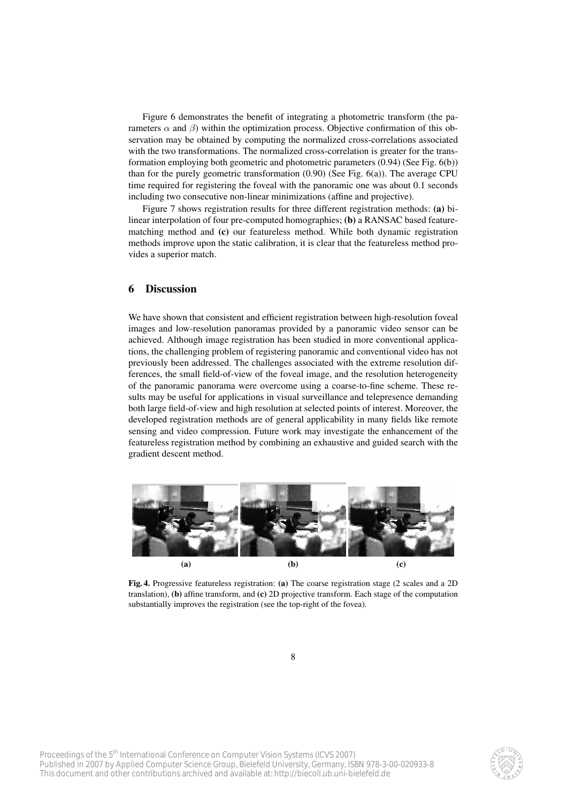Figure 6 demonstrates the benefit of integrating a photometric transform (the parameters  $\alpha$  and  $\beta$ ) within the optimization process. Objective confirmation of this observation may be obtained by computing the normalized cross-correlations associated with the two transformations. The normalized cross-correlation is greater for the transformation employing both geometric and photometric parameters (0.94) (See Fig. 6(b)) than for the purely geometric transformation (0.90) (See Fig. 6(a)). The average CPU time required for registering the foveal with the panoramic one was about 0.1 seconds including two consecutive non-linear minimizations (affine and projective).

Figure 7 shows registration results for three different registration methods: (a) bilinear interpolation of four pre-computed homographies; (b) a RANSAC based featurematching method and (c) our featureless method. While both dynamic registration methods improve upon the static calibration, it is clear that the featureless method provides a superior match.

## 6 Discussion

We have shown that consistent and efficient registration between high-resolution foveal images and low-resolution panoramas provided by a panoramic video sensor can be achieved. Although image registration has been studied in more conventional applications, the challenging problem of registering panoramic and conventional video has not previously been addressed. The challenges associated with the extreme resolution differences, the small field-of-view of the foveal image, and the resolution heterogeneity of the panoramic panorama were overcome using a coarse-to-fine scheme. These results may be useful for applications in visual surveillance and telepresence demanding both large field-of-view and high resolution at selected points of interest. Moreover, the developed registration methods are of general applicability in many fields like remote sensing and video compression. Future work may investigate the enhancement of the featureless registration method by combining an exhaustive and guided search with the gradient descent method.



Fig. 4. Progressive featureless registration: (a) The coarse registration stage (2 scales and a 2D translation), (b) affine transform, and (c) 2D projective transform. Each stage of the computation substantially improves the registration (see the top-right of the fovea).

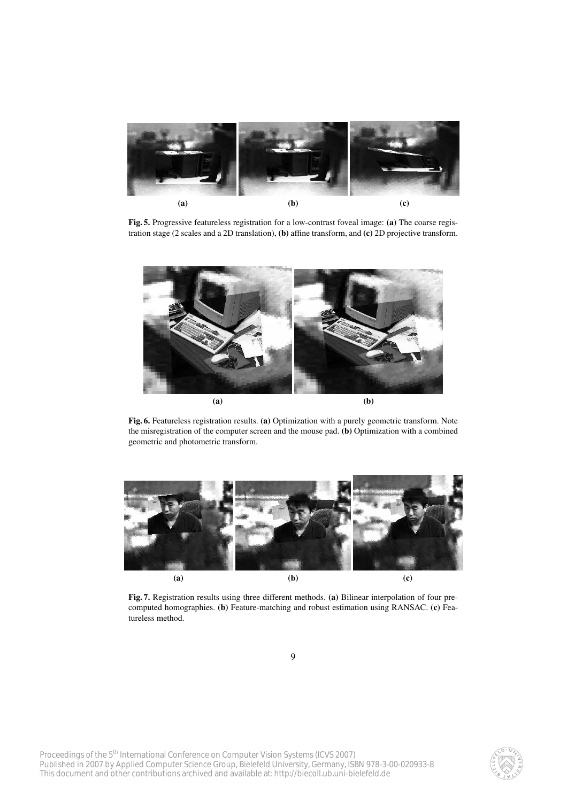

Fig. 5. Progressive featureless registration for a low-contrast foveal image: (a) The coarse registration stage (2 scales and a 2D translation), (b) affine transform, and (c) 2D projective transform.



Fig. 6. Featureless registration results. (a) Optimization with a purely geometric transform. Note the misregistration of the computer screen and the mouse pad. (b) Optimization with a combined geometric and photometric transform.



Fig. 7. Registration results using three different methods. (a) Bilinear interpolation of four precomputed homographies. (b) Feature-matching and robust estimation using RANSAC. (c) Featureless method.